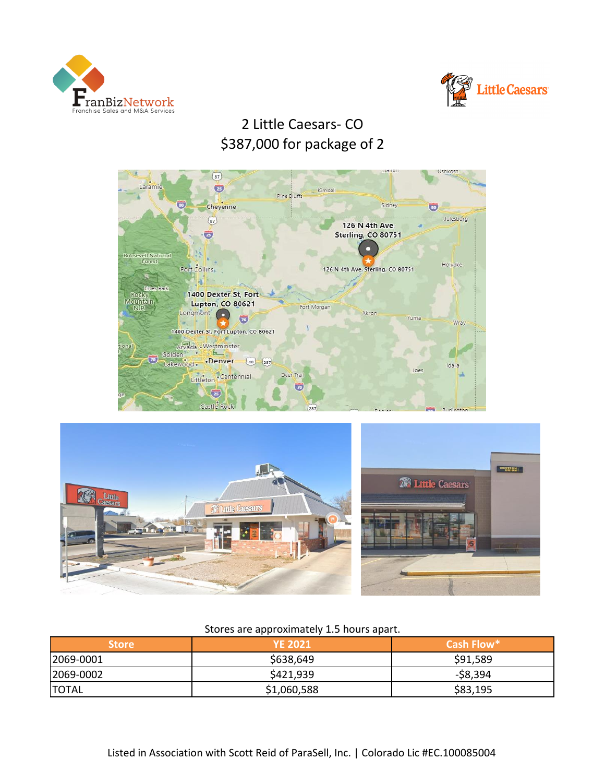



# 2 Little Caesars- CO \$387,000 for package of 2





## Stores are approximately 1.5 hours apart.

| <b>Store</b> | <b>YE 2021</b> | Cash Flow* |
|--------------|----------------|------------|
| 2069-0001    | \$638,649      | \$91,589   |
| 2069-0002    | \$421,939      | -\$8,394   |
| <b>TOTAL</b> | \$1,060,588    | \$83,195   |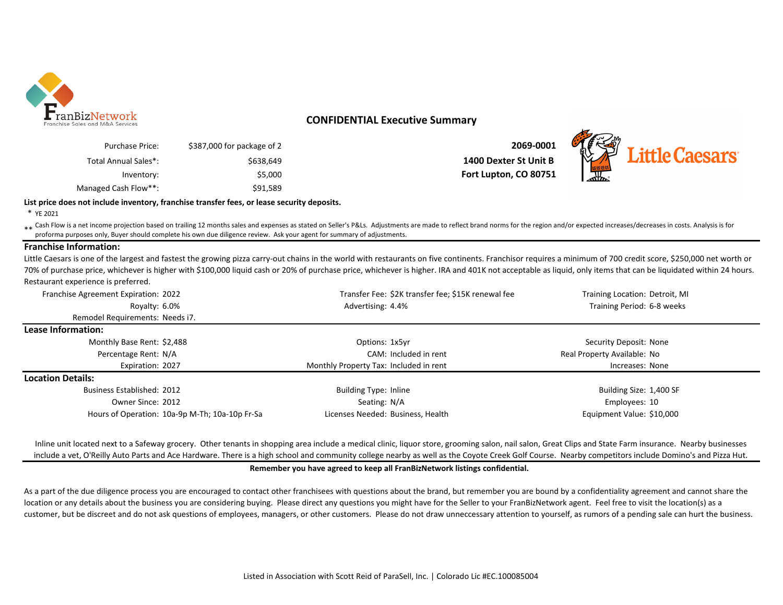

### **CONFIDENTIAL Executive Summary**

| 2069-0001             | \$387,000 for package of 2 | Purchase Price:      |
|-----------------------|----------------------------|----------------------|
| 1400 Dexter St Unit B | \$638.649                  | Total Annual Sales*: |
| Fort Lupton, CO 80751 | \$5,000                    | Inventory:           |
|                       | \$91.589                   | Managed Cash Flow**: |



### **List price does not include inventory, franchise transfer fees, or lease security deposits.**

\* YE 2021

ash Flow is a net income projection based on trailing 12 months sales and expenses as stated on Seller's P&Ls. Adjustments are made to reflect brand norms for the region and/or expected increases/decreases in costs. Analys proforma purposes only, Buyer should complete his own due diligence review. Ask your agent for summary of adjustments.

### **Franchise Information:**

Little Caesars is one of the largest and fastest the growing pizza carry-out chains in the world with restaurants on five continents. Franchisor requires a minimum of 700 credit score, \$250,000 net worth or 70% of purchase price, whichever is higher with \$100,000 liquid cash or 20% of purchase price, whichever is higher. IRA and 401K not acceptable as liquid, only items that can be liquidated within 24 hours. Restaurant experience is preferred.

| Franchise Agreement Expiration: 2022 |                                                |                                        | Transfer Fee: \$2K transfer fee; \$15K renewal fee | Training Location: Detroit, MI |  |
|--------------------------------------|------------------------------------------------|----------------------------------------|----------------------------------------------------|--------------------------------|--|
| Royalty: 6.0%                        |                                                | Advertising: 4.4%                      |                                                    | Training Period: 6-8 weeks     |  |
| Remodel Requirements: Needs i7.      |                                                |                                        |                                                    |                                |  |
| Lease Information:                   |                                                |                                        |                                                    |                                |  |
| Monthly Base Rent: \$2,488           |                                                | Options: 1x5yr                         |                                                    | Security Deposit: None         |  |
| Percentage Rent: N/A                 |                                                |                                        | CAM: Included in rent                              | Real Property Available: No    |  |
| Expiration: 2027                     |                                                | Monthly Property Tax: Included in rent |                                                    | Increases: None                |  |
| <b>Location Details:</b>             |                                                |                                        |                                                    |                                |  |
| <b>Business Established: 2012</b>    |                                                | Building Type: Inline                  |                                                    | Building Size: 1,400 SF        |  |
| Owner Since: 2012                    |                                                | Seating: N/A                           |                                                    | Employees: 10                  |  |
|                                      | Hours of Operation: 10a-9p M-Th; 10a-10p Fr-Sa | Licenses Needed: Business, Health      |                                                    | Equipment Value: \$10,000      |  |

Inline unit located next to a Safeway grocery. Other tenants in shopping area include a medical clinic, liquor store, grooming salon, nail salon, Great Clips and State Farm insurance. Nearby businesses include a vet, O'Reilly Auto Parts and Ace Hardware. There is a high school and community college nearby as well as the Coyote Creek Golf Course. Nearby competitors include Domino's and Pizza Hut.

#### **Remember you have agreed to keep all FranBizNetwork listings confidential.**

As a part of the due diligence process you are encouraged to contact other franchisees with questions about the brand, but remember you are bound by a confidentiality agreement and cannot share the location or any details about the business you are considering buying. Please direct any questions you might have for the Seller to your FranBizNetwork agent. Feel free to visit the location(s) as a customer, but be discreet and do not ask questions of employees, managers, or other customers. Please do not draw unneccessary attention to yourself, as rumors of a pending sale can hurt the business.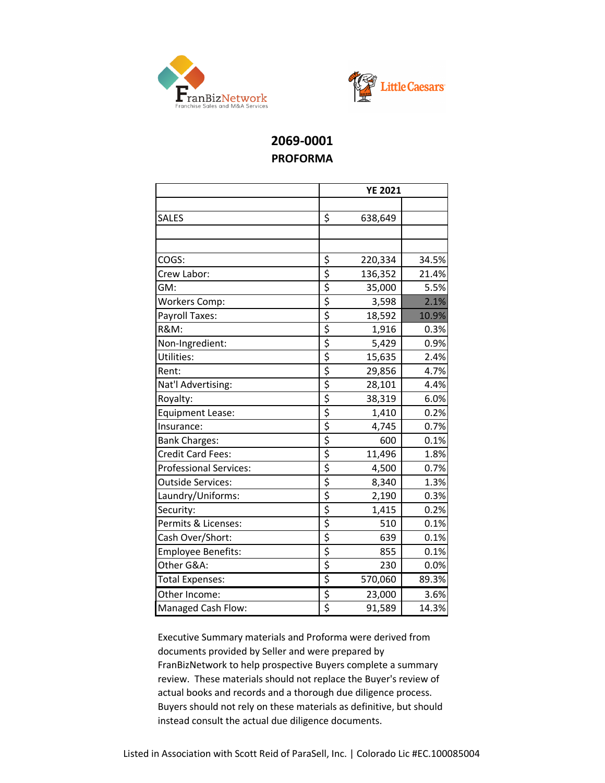



# **2069-0001 PROFORMA**

|                           |                                     | <b>YE 2021</b> |       |  |
|---------------------------|-------------------------------------|----------------|-------|--|
|                           |                                     |                |       |  |
| <b>SALES</b>              | \$                                  | 638,649        |       |  |
|                           |                                     |                |       |  |
|                           |                                     |                |       |  |
| COGS:                     | \$                                  | 220,334        | 34.5% |  |
| Crew Labor:               | \$                                  | 136,352        | 21.4% |  |
| GM:                       | \$                                  | 35,000         | 5.5%  |  |
| Workers Comp:             | \$                                  | 3,598          | 2.1%  |  |
| Payroll Taxes:            | \$                                  | 18,592         | 10.9% |  |
| <b>R&amp;M:</b>           | \$                                  | 1,916          | 0.3%  |  |
| Non-Ingredient:           | \$                                  | 5,429          | 0.9%  |  |
| Utilities:                | \$                                  | 15,635         | 2.4%  |  |
| Rent:                     | \$                                  | 29,856         | 4.7%  |  |
| Nat'l Advertising:        | \$                                  | 28,101         | 4.4%  |  |
| Royalty:                  | \$                                  | 38,319         | 6.0%  |  |
| <b>Equipment Lease:</b>   | \$                                  | 1,410          | 0.2%  |  |
| Insurance:                | \$                                  | 4,745          | 0.7%  |  |
| <b>Bank Charges:</b>      | $\overline{\boldsymbol{\varsigma}}$ | 600            | 0.1%  |  |
| <b>Credit Card Fees:</b>  | \$                                  | 11,496         | 1.8%  |  |
| Professional Services:    | \$                                  | 4,500          | 0.7%  |  |
| <b>Outside Services:</b>  | $\overline{\boldsymbol{\varsigma}}$ | 8,340          | 1.3%  |  |
| Laundry/Uniforms:         | $\overline{\boldsymbol{\varsigma}}$ | 2,190          | 0.3%  |  |
| Security:                 | $\overline{\boldsymbol{\varsigma}}$ | 1,415          | 0.2%  |  |
| Permits & Licenses:       | \$                                  | 510            | 0.1%  |  |
| Cash Over/Short:          | \$                                  | 639            | 0.1%  |  |
| <b>Employee Benefits:</b> | \$                                  | 855            | 0.1%  |  |
| Other G&A:                | \$                                  | 230            | 0.0%  |  |
| <b>Total Expenses:</b>    | \$                                  | 570,060        | 89.3% |  |
| Other Income:             | \$                                  | 23,000         | 3.6%  |  |
| Managed Cash Flow:        | \$                                  | 91,589         | 14.3% |  |

Executive Summary materials and Proforma were derived from documents provided by Seller and were prepared by FranBizNetwork to help prospective Buyers complete a summary review. These materials should not replace the Buyer's review of actual books and records and a thorough due diligence process. Buyers should not rely on these materials as definitive, but should instead consult the actual due diligence documents.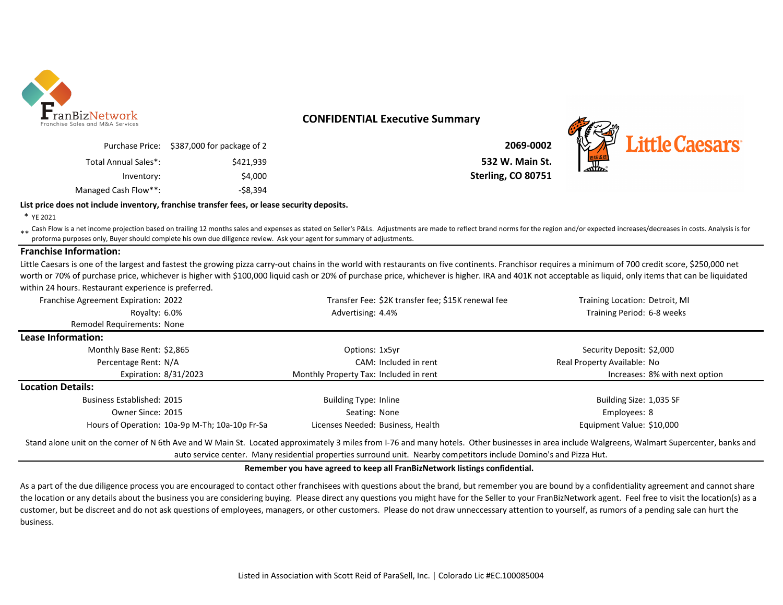

### **CONFIDENTIAL Executive Summary**

| 2069-0002          | Purchase Price: \$387,000 for package of 2 |                      |
|--------------------|--------------------------------------------|----------------------|
| 532 W. Main St.    | \$421.939                                  | Total Annual Sales*: |
| Sterling, CO 80751 | \$4,000                                    | Inventory:           |
|                    | -\$8.394                                   | Managed Cash Flow**: |

\$421,939 **532 W. Main St. Sterling, CO 80751** 



### **List price does not include inventory, franchise transfer fees, or lease security deposits.**

\* YE 2021

\*\* Cash Flow is a net income projection based on trailing 12 months sales and expenses as stated on Seller's P&Ls. Adjustments are made to reflect brand norms for the region and/or expected increases/decreases in costs. An proforma purposes only, Buyer should complete his own due diligence review. Ask your agent for summary of adjustments.

### **Franchise Information:**

Little Caesars is one of the largest and fastest the growing pizza carry-out chains in the world with restaurants on five continents. Franchisor requires a minimum of 700 credit score, \$250,000 net worth or 70% of purchase price, whichever is higher with \$100,000 liquid cash or 20% of purchase price, whichever is higher. IRA and 401K not acceptable as liquid, only items that can be liquidated within 24 hours. Restaurant experience is preferred.

| Franchise Agreement Expiration: 2022           | Transfer Fee: \$2K transfer fee; \$15K renewal fee                                                                                                                                             | Training Location: Detroit, MI |
|------------------------------------------------|------------------------------------------------------------------------------------------------------------------------------------------------------------------------------------------------|--------------------------------|
| Royalty: 6.0%                                  | Advertising: 4.4%                                                                                                                                                                              | Training Period: 6-8 weeks     |
| <b>Remodel Requirements: None</b>              |                                                                                                                                                                                                |                                |
| Lease Information:                             |                                                                                                                                                                                                |                                |
| Monthly Base Rent: \$2,865                     | Options: 1x5yr                                                                                                                                                                                 | Security Deposit: \$2,000      |
| Percentage Rent: N/A                           | CAM: Included in rent                                                                                                                                                                          | Real Property Available: No    |
| Expiration: 8/31/2023                          | Monthly Property Tax: Included in rent                                                                                                                                                         | Increases: 8% with next option |
| <b>Location Details:</b>                       |                                                                                                                                                                                                |                                |
| Business Established: 2015                     | Building Type: Inline                                                                                                                                                                          | Building Size: 1,035 SF        |
| Owner Since: 2015                              | Seating: None                                                                                                                                                                                  | Employees: 8                   |
| Hours of Operation: 10a-9p M-Th; 10a-10p Fr-Sa | Licenses Needed: Business, Health                                                                                                                                                              | Equipment Value: \$10,000      |
|                                                | Stand alone unit on the corner of N 6th Ave and W Main St. Located approximately 3 miles from I-76 and many hotels. Other businesses in area include Walgreens, Walmart Supercenter, banks and |                                |

auto service center. Many residential properties surround unit. Nearby competitors include Domino's and Pizza Hut.

#### **Remember you have agreed to keep all FranBizNetwork listings confidential.**

As a part of the due diligence process you are encouraged to contact other franchisees with questions about the brand, but remember you are bound by a confidentiality agreement and cannot share the location or any details about the business you are considering buying. Please direct any questions you might have for the Seller to your FranBizNetwork agent. Feel free to visit the location(s) as a customer, but be discreet and do not ask questions of employees, managers, or other customers. Please do not draw unneccessary attention to yourself, as rumors of a pending sale can hurt the business.